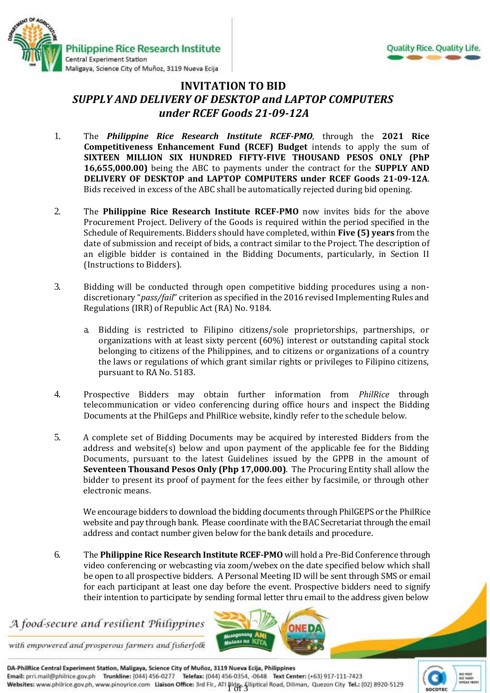



## **INVITATION TO BID** *SUPPLY AND DELIVERY OF DESKTOP and LAPTOP COMPUTERS under RCEF Goods 21-09-12A*

- 1. The *Philippine Rice Research Institute RCEF-PMO*, through the **2021 Rice Competitiveness Enhancement Fund (RCEF) Budget** intends to apply the sum of **SIXTEEN MILLION SIX HUNDRED FIFTY-FIVE THOUSAND PESOS ONLY (PhP 16,655,000.00)** being the ABC to payments under the contract for the **SUPPLY AND DELIVERY OF DESKTOP and LAPTOP COMPUTERS under RCEF Goods 21-09-12A**. Bids received in excess of the ABC shall be automatically rejected during bid opening.
- 2. The **Philippine Rice Research Institute RCEF-PMO** now invites bids for the above Procurement Project. Delivery of the Goods is required within the period specified in the Schedule of Requirements. Bidders should have completed, within **Five (5) years** from the date of submission and receipt of bids, a contract similar to the Project. The description of an eligible bidder is contained in the Bidding Documents, particularly, in Section II (Instructions to Bidders).
- 3. Bidding will be conducted through open competitive bidding procedures using a nondiscretionary "*pass/fail*" criterion as specified in the 2016 revised Implementing Rules and Regulations (IRR) of Republic Act (RA) No. 9184.
	- a. Bidding is restricted to Filipino citizens/sole proprietorships, partnerships, or organizations with at least sixty percent (60%) interest or outstanding capital stock belonging to citizens of the Philippines, and to citizens or organizations of a country the laws or regulations of which grant similar rights or privileges to Filipino citizens, pursuant to RA No. 5183.
- 4. Prospective Bidders may obtain further information from *PhilRice* through telecommunication or video conferencing during office hours and inspect the Bidding Documents at the PhilGeps and PhilRice website, kindly refer to the schedule below.
- 5. A complete set of Bidding Documents may be acquired by interested Bidders from the address and website(s) below and upon payment of the applicable fee for the Bidding Documents, pursuant to the latest Guidelines issued by the GPPB in the amount of **Seventeen Thousand Pesos Only (Php 17,000.00)**. The Procuring Entity shall allow the bidder to present its proof of payment for the fees either by facsimile, or through other electronic means.

We encourage bidders to download the bidding documents through PhilGEPS or the PhilRice website and pay through bank. Please coordinate with the BAC Secretariat through the email address and contact number given below for the bank details and procedure.

6. The **Philippine Rice Research Institute RCEF-PMO** will hold a Pre-Bid Conference through video conferencing or webcasting via zoom/webex on the date specified below which shall be open to all prospective bidders. A Personal Meeting ID will be sent through SMS or email for each participant at least one day before the event. Prospective bidders need to signify their intention to participate by sending formal letter thru email to the address given below

**Masaganang** 

## A food-secure and resilient Philippines



DA-PhilRice Central Experiment Station, Maligaya, Science City of Muñoz, 3119 Nueva Ecija, Philippines Email: prri.mail@philrice.gov.ph Trunkline: (044) 456-0277 Telefax: (044) 456-0354, -0648 Text Center: (+63) 917-111-7423 Websites: www.philrice.gov.ph, www.pinoyrice.com Liaison Office: 3rd Flr., ATI Bldg. Elliptical Road, Diliman, Quezon City Tel.: (02) 8920-5129

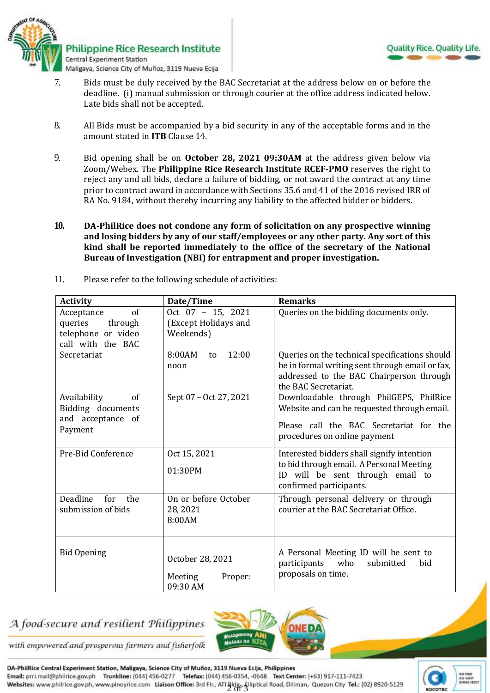

- 7. Bids must be duly received by the BAC Secretariat at the address below on or before the deadline. (i) manual submission or through courier at the office address indicated below*.*  Late bids shall not be accepted.
- 8. All Bids must be accompanied by a bid security in any of the acceptable forms and in the amount stated in **ITB** Clause 14.
- 9. Bid opening shall be on **October 28, 2021 09:30AM** at the address given below via Zoom/Webex. The **Philippine Rice Research Institute RCEF-PMO** reserves the right to reject any and all bids, declare a failure of bidding, or not award the contract at any time prior to contract award in accordance with Sections 35.6 and 41 of the 2016 revised IRR of RA No. 9184, without thereby incurring any liability to the affected bidder or bidders.
- **10. DA-PhilRice does not condone any form of solicitation on any prospective winning and losing bidders by any of our staff/employees or any other party. Any sort of this kind shall be reported immediately to the office of the secretary of the National Bureau of Investigation (NBI) for entrapment and proper investigation.**

| <b>Activity</b>                                                                        | Date/Time                                              | <b>Remarks</b>                                                                                                                                                        |
|----------------------------------------------------------------------------------------|--------------------------------------------------------|-----------------------------------------------------------------------------------------------------------------------------------------------------------------------|
| $\sigma$ f<br>Acceptance<br>queries through<br>telephone or video<br>call with the BAC | Oct 07 - 15, 2021<br>(Except Holidays and<br>Weekends) | Queries on the bidding documents only.                                                                                                                                |
| Secretariat                                                                            | 8:00AM<br>12:00<br>to<br>noon                          | Queries on the technical specifications should<br>be in formal writing sent through email or fax,<br>addressed to the BAC Chairperson through<br>the BAC Secretariat. |
| Availability<br>of<br>Bidding documents<br>and acceptance of<br>Payment                | Sept 07 - Oct 27, 2021                                 | Downloadable through PhilGEPS, PhilRice<br>Website and can be requested through email.<br>Please call the BAC Secretariat for the<br>procedures on online payment     |
| Pre-Bid Conference                                                                     | Oct 15, 2021<br>01:30PM                                | Interested bidders shall signify intention<br>to bid through email. A Personal Meeting<br>ID will be sent through email to<br>confirmed participants.                 |
| Deadline<br>for the<br>submission of bids                                              | On or before October<br>28, 2021<br>8:00AM             | Through personal delivery or through<br>courier at the BAC Secretariat Office.                                                                                        |
| <b>Bid Opening</b>                                                                     | October 28, 2021<br>Meeting<br>Proper:<br>09:30 AM     | A Personal Meeting ID will be sent to<br>participants<br>who<br>submitted<br><b>bid</b><br>proposals on time.                                                         |

11. Please refer to the following schedule of activities:

## A food-secure and resilient Philippines



with empowered and prosperous farmers and fisherfolk

DA-PhilRice Central Experiment Station, Maligaya, Science City of Muñoz, 3119 Nueva Ecija, Philippines Email: prri.mail@philrice.gov.ph Trunkline: (044) 456-0277 Telefax: (044) 456-0354, -0648 Text Center: (+63) 917-111-7423 Websites: www.philrice.gov.ph, www.pinoyrice.com Liaison Office: 3rd Flr., ATI Bldg. Elliptical Road, Diliman, Quezon City Tel.: (02) 8920-5129